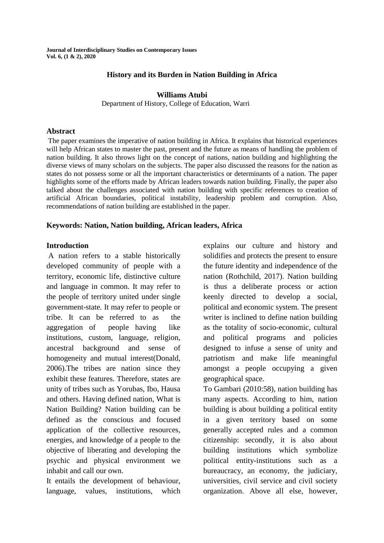**Journal of Interdisciplinary Studies on Contemporary Issues Vol. 6, (1 & 2), 2020**

#### **History and its Burden in Nation Building in Africa**

#### **Williams Atubi**

Department of History, College of Education, Warri

#### **Abstract**

The paper examines the imperative of nation building in Africa. It explains that historical experiences will help African states to master the past, present and the future as means of handling the problem of nation building. It also throws light on the concept of nations, nation building and highlighting the diverse views of many scholars on the subjects. The paper also discussed the reasons for the nation as states do not possess some or all the important characteristics or determinants of a nation. The paper highlights some of the efforts made by African leaders towards nation building. Finally, the paper also talked about the challenges associated with nation building with specific references to creation of artificial African boundaries, political instability, leadership problem and corruption. Also, recommendations of nation building are established in the paper.

#### **Keywords: Nation, Nation building, African leaders, Africa**

#### **Introduction**

A nation refers to a stable historically developed community of people with a territory, economic life, distinctive culture and language in common. It may refer to the people of territory united under single government-state. It may refer to people or tribe. It can be referred to as the aggregation of people having like institutions, custom, language, religion, ancestral background and sense of homogeneity and mutual interest(Donald, 2006).The tribes are nation since they exhibit these features. Therefore, states are unity of tribes such as Yorubas, Ibo, Hausa and others. Having defined nation, What is Nation Building? Nation building can be defined as the conscious and focused application of the collective resources, energies, and knowledge of a people to the objective of liberating and developing the psychic and physical environment we inhabit and call our own.

It entails the development of behaviour, language, values, institutions, which explains our culture and history and solidifies and protects the present to ensure the future identity and independence of the nation (Rothchild, 2017). Nation building is thus a deliberate process or action keenly directed to develop a social, political and economic system. The present writer is inclined to define nation building as the totality of socio-economic, cultural and political programs and policies designed to infuse a sense of unity and patriotism and make life meaningful amongst a people occupying a given geographical space.

To Gambari (2010:58), nation building has many aspects. According to him, nation building is about building a political entity in a given territory based on some generally accepted rules and a common citizenship: secondly, it is also about building institutions which symbolize political entity-institutions such as a bureaucracy, an economy, the judiciary, universities, civil service and civil society organization. Above all else, however,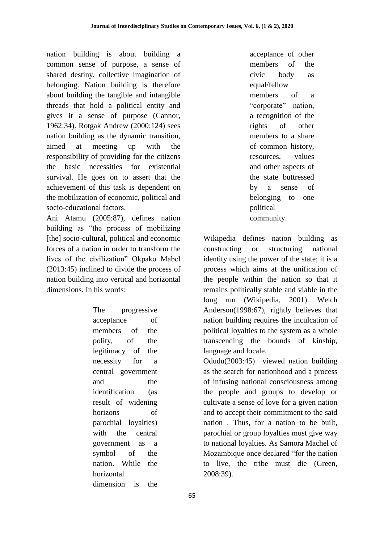nation building is about building a common sense of purpose, a sense of shared destiny, collective imagination of belonging. Nation building is therefore about building the tangible and intangible threads that hold a political entity and gives it a sense of purpose (Cannor, 1962:34). Rotgak Andrew (2000:124) sees nation building as the dynamic transition, aimed at meeting up with the responsibility of providing for the citizens the basic necessities for existential survival. He goes on to assert that the achievement of this task is dependent on the mobilization of economic, political and socio-educational factors.

Ani Atamu (2005:87), defines nation building as "the process of mobilizing [the] socio-cultural, political and economic forces of a nation in order to transform the lives of the civilization" Okpako Mabel (2013:45) inclined to divide the process of nation building into vertical and horizontal dimensions. In his words:

> The progressive acceptance of members of the polity, of the legitimacy of the necessity for a central government and the identification (as result of widening horizons of parochial loyalties) with the central government as a symbol of the nation. While the horizontal dimension is the

acceptance of other members of the civic body as equal/fellow members of a "corporate" nation, a recognition of the rights of other members to a share of common history, resources, values and other aspects of the state buttressed by a sense of belonging to one political community.

Wikipedia defines nation building as constructing or structuring national identity using the power of the state; it is a process which aims at the unification of the people within the nation so that it remains politically stable and viable in the long run (Wikipedia, 2001). Welch Anderson(1998:67), rightly believes that nation building requires the inculcation of political loyalties to the system as a whole transcending the bounds of kinship, language and locale.

Odudu(2003:45) viewed nation building as the search for nationhood and a process of infusing national consciousness among the people and groups to develop or cultivate a sense of love for a given nation and to accept their commitment to the said nation . Thus, for a nation to be built, parochial or group loyalties must give way to national loyalties. As Samora Machel of Mozambique once declared "for the nation to live, the tribe must die (Green, 2008:39).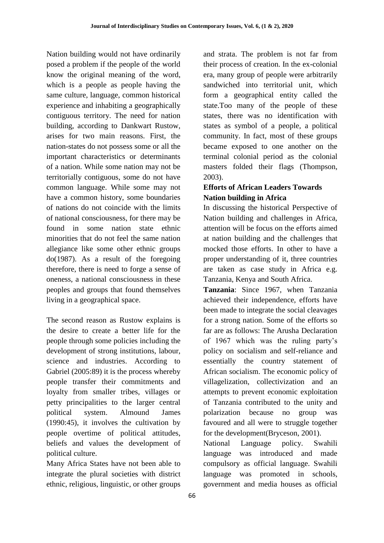Nation building would not have ordinarily posed a problem if the people of the world know the original meaning of the word, which is a people as people having the same culture, language, common historical experience and inhabiting a geographically contiguous territory. The need for nation building, according to Dankwart Rustow, arises for two main reasons. First, the nation-states do not possess some or all the important characteristics or determinants of a nation. While some nation may not be territorially contiguous, some do not have common language. While some may not have a common history, some boundaries of nations do not coincide with the limits of national consciousness, for there may be found in some nation state ethnic minorities that do not feel the same nation allegiance like some other ethnic groups do(1987). As a result of the foregoing therefore, there is need to forge a sense of oneness, a national consciousness in these peoples and groups that found themselves living in a geographical space.

The second reason as Rustow explains is the desire to create a better life for the people through some policies including the development of strong institutions, labour, science and industries. According to Gabriel (2005:89) it is the process whereby people transfer their commitments and loyalty from smaller tribes, villages or petty principalities to the larger central political system. Almound James (1990:45), it involves the cultivation by people overtime of political attitudes, beliefs and values the development of political culture.

Many Africa States have not been able to integrate the plural societies with district ethnic, religious, linguistic, or other groups

and strata. The problem is not far from their process of creation. In the ex-colonial era, many group of people were arbitrarily sandwiched into territorial unit, which form a geographical entity called the state.Too many of the people of these states, there was no identification with states as symbol of a people, a political community. In fact, most of these groups became exposed to one another on the terminal colonial period as the colonial masters folded their flags (Thompson, 2003).

# **Efforts of African Leaders Towards Nation building in Africa**

In discussing the historical Perspective of Nation building and challenges in Africa, attention will be focus on the efforts aimed at nation building and the challenges that mocked those efforts. In other to have a proper understanding of it, three countries are taken as case study in Africa e.g. Tanzania, Kenya and South Africa.

**Tanzania**: Since 1967, when Tanzania achieved their independence, efforts have been made to integrate the social cleavages for a strong nation. Some of the efforts so far are as follows: The Arusha Declaration of 1967 which was the ruling party"s policy on socialism and self-reliance and essentially the country statement of African socialism. The economic policy of villagelization, collectivization and an attempts to prevent economic exploitation of Tanzania contributed to the unity and polarization because no group was favoured and all were to struggle together for the development(Bryceson, 2001).

National Language policy. Swahili language was introduced and made compulsory as official language. Swahili language was promoted in schools, government and media houses as official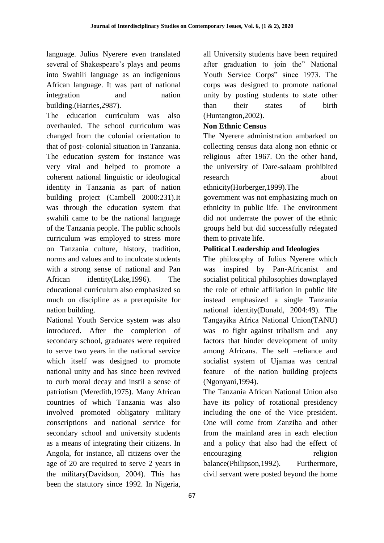language. Julius Nyerere even translated several of Shakespeare's plays and peoms into Swahili language as an indigenious African language. It was part of national integration and nation building.(Harries,2987).

The education curriculum was also overhauled. The school curriculum was changed from the colonial orientation to that of post- colonial situation in Tanzania. The education system for instance was very vital and helped to promote a coherent national linguistic or ideological identity in Tanzania as part of nation building project (Cambell 2000:231).It was through the education system that swahili came to be the national language of the Tanzania people. The public schools curriculum was employed to stress more on Tanzania culture, history, tradition, norms and values and to inculcate students with a strong sense of national and Pan African identity(Lake,1996). The educational curriculum also emphasized so much on discipline as a prerequisite for nation building.

National Youth Service system was also introduced. After the completion of secondary school, graduates were required to serve two years in the national service which itself was designed to promote national unity and has since been revived to curb moral decay and instil a sense of patriotism (Meredith,1975). Many African countries of which Tanzania was also involved promoted obligatory military conscriptions and national service for secondary school and university students as a means of integrating their citizens. In Angola, for instance, all citizens over the age of 20 are required to serve 2 years in the military(Davidson, 2004). This has been the statutory since 1992. In Nigeria,

all University students have been required after graduation to join the" National Youth Service Corps" since 1973. The corps was designed to promote national unity by posting students to state other than their states of birth (Huntangton,2002).

## **Non Ethnic Census**

The Nyerere administration ambarked on collecting census data along non ethnic or religious after 1967. On the other hand, the university of Dare-salaam prohibited research about

ethnicity(Horberger,1999).The

government was not emphasizing much on ethnicity in public life. The environment did not underrate the power of the ethnic groups held but did successfully relegated them to private life.

## **Political Leadership and Ideologies**

The philosophy of Julius Nyerere which was inspired by Pan-Africanist and socialist political philosophies downplayed the role of ethnic affiliation in public life instead emphasized a single Tanzania national identity(Donald, 2004:49). The Tangayika Africa National Union(TANU) was to fight against tribalism and any factors that hinder development of unity among Africans. The self –reliance and socialist system of Ujamaa was central feature of the nation building projects (Ngonyani,1994).

The Tanzania African National Union also have its policy of rotational presidency including the one of the Vice president. One will come from Zanziba and other from the mainland area in each election and a policy that also had the effect of encouraging religion balance(Philipson,1992). Furthermore, civil servant were posted beyond the home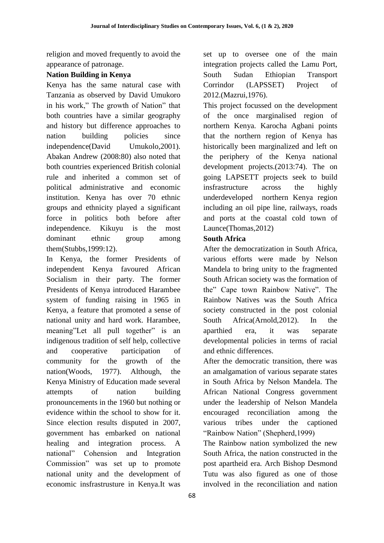religion and moved frequently to avoid the appearance of patronage.

## **Nation Building in Kenya**

Kenya has the same natural case with Tanzania as observed by David Umukoro in his work," The growth of Nation" that both countries have a similar geography and history but difference approaches to nation building policies since independence(David Umukolo,2001). Abakan Andrew (2008:80) also noted that both countries experienced British colonial rule and inherited a common set of political administrative and economic institution. Kenya has over 70 ethnic groups and ethnicity played a significant force in politics both before after independence. Kikuyu is the most dominant ethnic group among them(Stubbs,1999:12).

In Kenya, the former Presidents of independent Kenya favoured African Socialism in their party. The former Presidents of Kenya introduced Harambee system of funding raising in 1965 in Kenya, a feature that promoted a sense of national unity and hard work. Harambee, meaning"Let all pull together" is an indigenous tradition of self help, collective and cooperative participation of community for the growth of the nation(Woods, 1977). Although, the Kenya Ministry of Education made several attempts of nation building pronouncements in the 1960 but nothing or evidence within the school to show for it. Since election results disputed in 2007, government has embarked on national healing and integration process. A national" Cohension and Integration Commission" was set up to promote national unity and the development of economic insfrastrusture in Kenya.It was

set up to oversee one of the main integration projects called the Lamu Port, South Sudan Ethiopian Transport Corrindor (LAPSSET) Project of 2012.(Mazrui,1976).

This project focussed on the development of the once marginalised region of northern Kenya. Karocha Agbani points that the northern region of Kenya has historically been marginalized and left on the periphery of the Kenya national development projects.(2013:74). The on going LAPSETT projects seek to build insfrastructure across the highly underdeveloped northern Kenya region including an oil pipe line, railways, roads and ports at the coastal cold town of Launce(Thomas,2012)

## **South Africa**

After the democratization in South Africa, various efforts were made by Nelson Mandela to bring unity to the fragmented South African society was the formation of the" Cape town Rainbow Native". The Rainbow Natives was the South Africa society constructed in the post colonial South Africa(Arnold,2012). In the aparthied era, it was separate developmental policies in terms of racial and ethnic differences.

After the democratic transition, there was an amalgamation of various separate states in South Africa by Nelson Mandela. The African National Congress government under the leadership of Nelson Mandela encouraged reconciliation among the various tribes under the captioned "Rainbow Nation" (Shepherd,1999)

The Rainbow nation symbolized the new South Africa, the nation constructed in the post apartheid era. Arch Bishop Desmond Tutu was also figured as one of those involved in the reconciliation and nation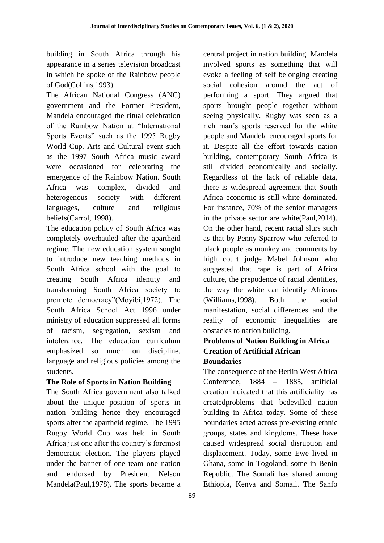building in South Africa through his appearance in a series television broadcast in which he spoke of the Rainbow people of God(Collins,1993).

The African National Congress (ANC) government and the Former President, Mandela encouraged the ritual celebration of the Rainbow Nation at "International Sports Events" such as the 1995 Rugby World Cup. Arts and Cultural event such as the 1997 South Africa music award were occasioned for celebrating the emergence of the Rainbow Nation. South Africa was complex, divided and heterogenous society with different languages, culture and religious beliefs(Carrol, 1998).

The education policy of South Africa was completely overhauled after the apartheid regime. The new education system sought to introduce new teaching methods in South Africa school with the goal to creating South Africa identity and transforming South Africa society to promote democracy"(Moyibi,1972). The South Africa School Act 1996 under ministry of education suppressed all forms of racism, segregation, sexism and intolerance. The education curriculum emphasized so much on discipline, language and religious policies among the students.

# **The Role of Sports in Nation Building**

The South Africa government also talked about the unique position of sports in nation building hence they encouraged sports after the apartheid regime. The 1995 Rugby World Cup was held in South Africa just one after the country"s foremost democratic election. The players played under the banner of one team one nation and endorsed by President Nelson Mandela(Paul,1978). The sports became a central project in nation building. Mandela involved sports as something that will evoke a feeling of self belonging creating social cohesion around the act of performing a sport. They argued that sports brought people together without seeing physically. Rugby was seen as a rich man"s sports reserved for the white people and Mandela encouraged sports for it. Despite all the effort towards nation building, contemporary South Africa is still divided economically and socially. Regardless of the lack of reliable data, there is widespread agreement that South Africa economic is still white dominated. For instance, 70% of the senior managers in the private sector are white(Paul,2014). On the other hand, recent racial slurs such as that by Penny Sparrow who referred to black people as monkey and comments by high court judge Mabel Johnson who suggested that rape is part of Africa culture, the prepodence of racial identities, the way the white can identify Africans (Williams,1998). Both the social manifestation, social differences and the reality of economic inequalities are obstacles to nation building.

## **Problems of Nation Building in Africa Creation of Artificial African Boundaries**

The consequence of the Berlin West Africa Conference, 1884 – 1885, artificial creation indicated that this artificiality has createdproblems that bedevilled nation building in Africa today. Some of these boundaries acted across pre-existing ethnic groups, states and kingdoms. These have caused widespread social disruption and displacement. Today, some Ewe lived in Ghana, some in Togoland, some in Benin Republic. The Somali has shared among Ethiopia, Kenya and Somali. The Sanfo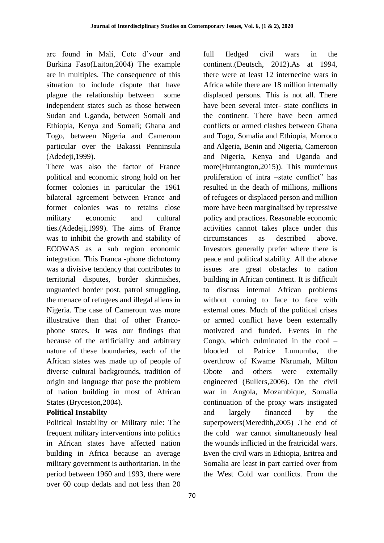are found in Mali, Cote d"vour and Burkina Faso(Laiton,2004) The example are in multiples. The consequence of this situation to include dispute that have plague the relationship between some independent states such as those between Sudan and Uganda, between Somali and Ethiopia, Kenya and Somali; Ghana and Togo, between Nigeria and Cameroun particular over the Bakassi Penninsula (Adedeji,1999).

There was also the factor of France political and economic strong hold on her former colonies in particular the 1961 bilateral agreement between France and former colonies was to retains close military economic and cultural ties.(Adedeji,1999). The aims of France was to inhibit the growth and stability of ECOWAS as a sub region economic integration. This Franca -phone dichotomy was a divisive tendency that contributes to territorial disputes, border skirmishes, unguarded border post, patrol smuggling, the menace of refugees and illegal aliens in Nigeria. The case of Cameroun was more illustrative than that of other Francophone states. It was our findings that because of the artificiality and arbitrary nature of these boundaries, each of the African states was made up of people of diverse cultural backgrounds, tradition of origin and language that pose the problem of nation building in most of African States (Brycesion,2004).

## **Political Instabilty**

Political Instability or Military rule: The frequent military interventions into politics in African states have affected nation building in Africa because an average military government is authoritarian. In the period between 1960 and 1993, there were over 60 coup dedats and not less than 20 continent.(Deutsch, 2012).As at 1994, there were at least 12 internecine wars in Africa while there are 18 million internally displaced persons. This is not all. There have been several inter- state conflicts in the continent. There have been armed conflicts or armed clashes between Ghana and Togo, Somalia and Ethiopia, Morroco and Algeria, Benin and Nigeria, Cameroon and Nigeria, Kenya and Uganda and more(Huntangton,2015)). This murderous proliferation of intra –state conflict" has resulted in the death of millions, millions of refugees or displaced person and million more have been marginalised by repressive policy and practices. Reasonable economic activities cannot takes place under this circumstances as described above. Investors generally prefer where there is peace and political stability. All the above issues are great obstacles to nation building in African continent. It is difficult to discuss internal African problems without coming to face to face with external ones. Much of the political crises or armed conflict have been externally motivated and funded. Events in the Congo, which culminated in the cool – blooded of Patrice Lumumba, the overthrow of Kwame Nkrumah, Milton Obote and others were externally engineered (Bullers,2006). On the civil war in Angola, Mozambique, Somalia continuation of the proxy wars instigated and largely financed by the superpowers(Meredith,2005) .The end of the cold war cannot simultaneously heal the wounds inflicted in the fratricidal wars. Even the civil wars in Ethiopia, Eritrea and Somalia are least in part carried over from the West Cold war conflicts. From the

full fledged civil wars in the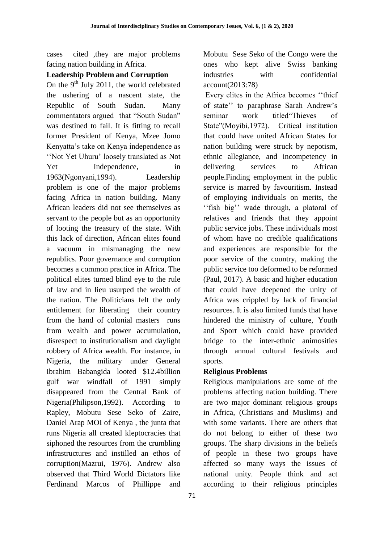cases cited ,they are major problems facing nation building in Africa.

#### **Leadership Problem and Corruption**

On the  $9<sup>th</sup>$  July 2011, the world celebrated the ushering of a nascent state, the Republic of South Sudan. Many commentators argued that "South Sudan" was destined to fail. It is fitting to recall former President of Kenya, Mzee Jomo Kenyatta"s take on Kenya independence as "Not Yet Uhuru" loosely translated as Not Yet Independence, in 1963(Ngonyani,1994). Leadership problem is one of the major problems facing Africa in nation building. Many African leaders did not see themselves as servant to the people but as an opportunity of looting the treasury of the state. With this lack of direction, African elites found a vacuum in mismanaging the new republics. Poor governance and corruption becomes a common practice in Africa. The political elites turned blind eye to the rule of law and in lieu usurped the wealth of the nation. The Politicians felt the only entitlement for liberating their country from the hand of colonial masters runs from wealth and power accumulation, disrespect to institutionalism and daylight robbery of Africa wealth. For instance, in Nigeria, the military under General Ibrahim Babangida looted \$12.4billion gulf war windfall of 1991 simply disappeared from the Central Bank of Nigeria(Philipson,1992). According to Rapley, Mobutu Sese Seko of Zaire, Daniel Arap MOI of Kenya , the junta that runs Nigeria all created kleptocracies that siphoned the resources from the crumbling infrastructures and instilled an ethos of corruption(Mazrui, 1976). Andrew also observed that Third World Dictators like Ferdinand Marcos of Phillippe and

Mobutu Sese Seko of the Congo were the ones who kept alive Swiss banking industries with confidential account(2013:78)

Every elites in the Africa becomes ""thief of state" to paraphrase Sarah Andrew's seminar work titled"Thieves of State"(Moyibi,1972). Critical institution that could have united African States for nation building were struck by nepotism, ethnic allegiance, and incompetency in delivering services to African people.Finding employment in the public service is marred by favouritism. Instead of employing individuals on merits, the "fish big" wade through, a platoral of relatives and friends that they appoint public service jobs. These individuals most of whom have no credible qualifications and experiences are responsible for the poor service of the country, making the public service too deformed to be reformed (Paul, 2017). A basic and higher education that could have deepened the unity of Africa was crippled by lack of financial resources. It is also limited funds that have hindered the ministry of culture, Youth and Sport which could have provided bridge to the inter-ethnic animosities through annual cultural festivals and sports.

## **Religious Problems**

Religious manipulations are some of the problems affecting nation building. There are two major dominant religious groups in Africa, (Christians and Muslims) and with some variants. There are others that do not belong to either of these two groups. The sharp divisions in the beliefs of people in these two groups have affected so many ways the issues of national unity. People think and act according to their religious principles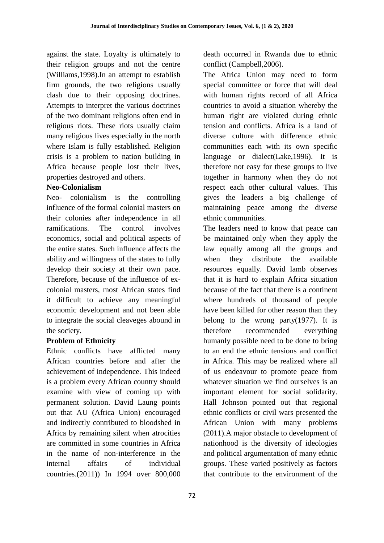against the state. Loyalty is ultimately to their religion groups and not the centre (Williams,1998).In an attempt to establish firm grounds, the two religions usually clash due to their opposing doctrines. Attempts to interpret the various doctrines of the two dominant religions often end in religious riots. These riots usually claim many religious lives especially in the north where Islam is fully established. Religion crisis is a problem to nation building in Africa because people lost their lives, properties destroyed and others.

## **Neo-Colonialism**

Neo- colonialism is the controlling influence of the formal colonial masters on their colonies after independence in all ramifications. The control involves economics, social and political aspects of the entire states. Such influence affects the ability and willingness of the states to fully develop their society at their own pace. Therefore, because of the influence of excolonial masters, most African states find it difficult to achieve any meaningful economic development and not been able to integrate the social cleaveges abound in the society.

## **Problem of Ethnicity**

Ethnic conflicts have afflicted many African countries before and after the achievement of independence. This indeed is a problem every African country should examine with view of coming up with permanent solution. David Laung points out that AU (Africa Union) encouraged and indirectly contributed to bloodshed in Africa by remaining silent when atrocities are committed in some countries in Africa in the name of non-interference in the internal affairs of individual countries.(2011)) In 1994 over 800,000 death occurred in Rwanda due to ethnic conflict (Campbell,2006).

The Africa Union may need to form special committee or force that will deal with human rights record of all Africa countries to avoid a situation whereby the human right are violated during ethnic tension and conflicts. Africa is a land of diverse culture with difference ethnic communities each with its own specific language or dialect(Lake,1996). It is therefore not easy for these groups to live together in harmony when they do not respect each other cultural values. This gives the leaders a big challenge of maintaining peace among the diverse ethnic communities.

The leaders need to know that peace can be maintained only when they apply the law equally among all the groups and when they distribute the available resources equally. David lamb observes that it is hard to explain Africa situation because of the fact that there is a continent where hundreds of thousand of people have been killed for other reason than they belong to the wrong party $(1977)$ . It is therefore recommended everything humanly possible need to be done to bring to an end the ethnic tensions and conflict in Africa. This may be realized where all of us endeavour to promote peace from whatever situation we find ourselves is an important element for social solidarity. Hall Johnson pointed out that regional ethnic conflicts or civil wars presented the African Union with many problems (2011).A major obstacle to development of nationhood is the diversity of ideologies and political argumentation of many ethnic groups. These varied positively as factors that contribute to the environment of the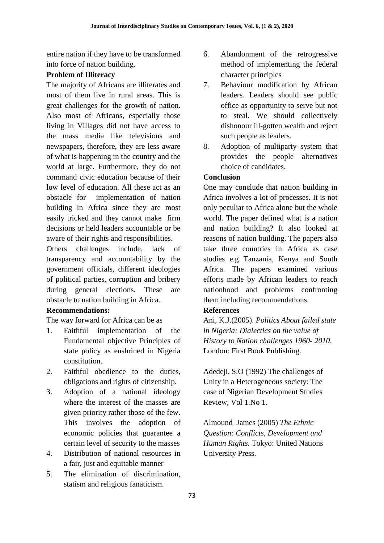entire nation if they have to be transformed into force of nation building.

## **Problem of Illiteracy**

The majority of Africans are illiterates and most of them live in rural areas. This is great challenges for the growth of nation. Also most of Africans, especially those living in Villages did not have access to the mass media like televisions and newspapers, therefore, they are less aware of what is happening in the country and the world at large. Furthermore, they do not command civic education because of their low level of education. All these act as an obstacle for implementation of nation building in Africa since they are most easily tricked and they cannot make firm decisions or held leaders accountable or be aware of their rights and responsibilities.

Others challenges include, lack of transparency and accountability by the government officials, different ideologies of political parties, corruption and bribery during general elections. These are obstacle to nation building in Africa.

# **Recommendations:**

The way forward for Africa can be as

- 1. Faithful implementation of the Fundamental objective Principles of state policy as enshrined in Nigeria constitution.
- 2. Faithful obedience to the duties, obligations and rights of citizenship.
- 3. Adoption of a national ideology where the interest of the masses are given priority rather those of the few. This involves the adoption of economic policies that guarantee a certain level of security to the masses
- 4. Distribution of national resources in a fair, just and equitable manner
- 5. The elimination of discrimination, statism and religious fanaticism.
- 6. Abandonment of the retrogressive method of implementing the federal character principles
- 7. Behaviour modification by African leaders. Leaders should see public office as opportunity to serve but not to steal. We should collectively dishonour ill-gotten wealth and reject such people as leaders.
- 8. Adoption of multiparty system that provides the people alternatives choice of candidates.

## **Conclusion**

One may conclude that nation building in Africa involves a lot of processes. It is not only peculiar to Africa alone but the whole world. The paper defined what is a nation and nation building? It also looked at reasons of nation building. The papers also take three countries in Africa as case studies e.g Tanzania, Kenya and South Africa. The papers examined various efforts made by African leaders to reach nationhood and problems confronting them including recommendations.

## **References**

Ani, K.J.(2005). *Politics About failed state in Nigeria: Dialectics on the value of History to Nation challenges 1960- 2010*. London: First Book Publishing.

Adedeji, S.O (1992) The challenges of Unity in a Heterogeneous society: The case of Nigerian Development Studies Review, Vol 1.No 1.

Almound James (2005) *The Ethnic Question: Conflicts, Development and Human Rights.* Tokyo: United Nations University Press.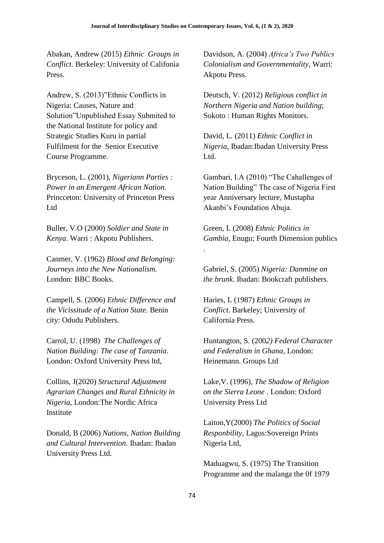.

Abakan, Andrew (2015) *Ethnic Groups in Conflict*. Berkeley: University of Califonia Press.

Andrew, S. (2013)"Ethnic Conflicts in Nigeria: Causes, Nature and Solution"Unpublished Essay Submited to the National Institute for policy and Strategic Studies Kuru in partial Fulfilment for the Senior Executive Course Programme.

Bryceson, L. (2001), *Nigeriann Parties : Power in an Emergent African Nation*. Princceton: University of Princeton Press Ltd

Buller, V.O (2000) *Soldier and State in Kenya*. Warri : Akpotu Publishers.

Canmer, V. (1962) *Blood and Belonging: Journeys into the New Nationalism.* London: BBC Books.

Campell, S. (2006) *Ethnic Difference and the Vicissitude of a Nation State*. Benin city: Odudu Publishers.

Carrol, U. (1998) *The Challenges of Nation Building: The case of Tanzania*. London: Oxford University Press ltd,

Collins, J(2020) *Structural Adjustment Agrarian Changes and Rural Ethnicity in Nigeria*, London:The Nordic Africa Institute

Donald, B (2006) *Nations, Nation Building and Cultural Intervention.* Ibadan: Ibadan University Press Ltd.

Davidson, A. (2004) *Africa's Two Publics Colonialism and Governmentality,* Warri: Akpotu Press.

Deutsch, V. (2012) *Religious conflict in Northern Nigeria and Nation building*; Sokoto : Human Rights Monitors.

David, L. (2011) *Ethnic Conflict in Nigeria*, Ibadan:Ibadan University Press Ltd.

Gambari, I.A (2010) "The Cahallenges of Nation Building" The case of Nigeria First year Anniversary lecture, Mustapha Akanbi"s Foundation Abuja.

Green, L (2008) *Ethnic Politics in Gambia,* Enugu; Fourth Dimension publics

Gabriel, S. (2005) *Nigeria: Danmine on the brunk*. Ibadan: Bookcraft publishers.

Haries, L (1987) *Ethnic Groups in Conflict*. Barkeley; University of California Press.

Huntangton, S. (200*2) Federal Character and Federalism in Ghana,* London: Heinemann. Groups Ltd

Lake,V. (1996), *The Shadow of Religion on the Sierra Leone* . London: Oxford University Press Ltd

Laiton,Y(2000) *The Politics of Social Responbility*, Lagos:Sovereign Prints Nigeria Ltd,

Maduagwu, S. (1975) The Transition Programme and the malanga the 0f 197*9*